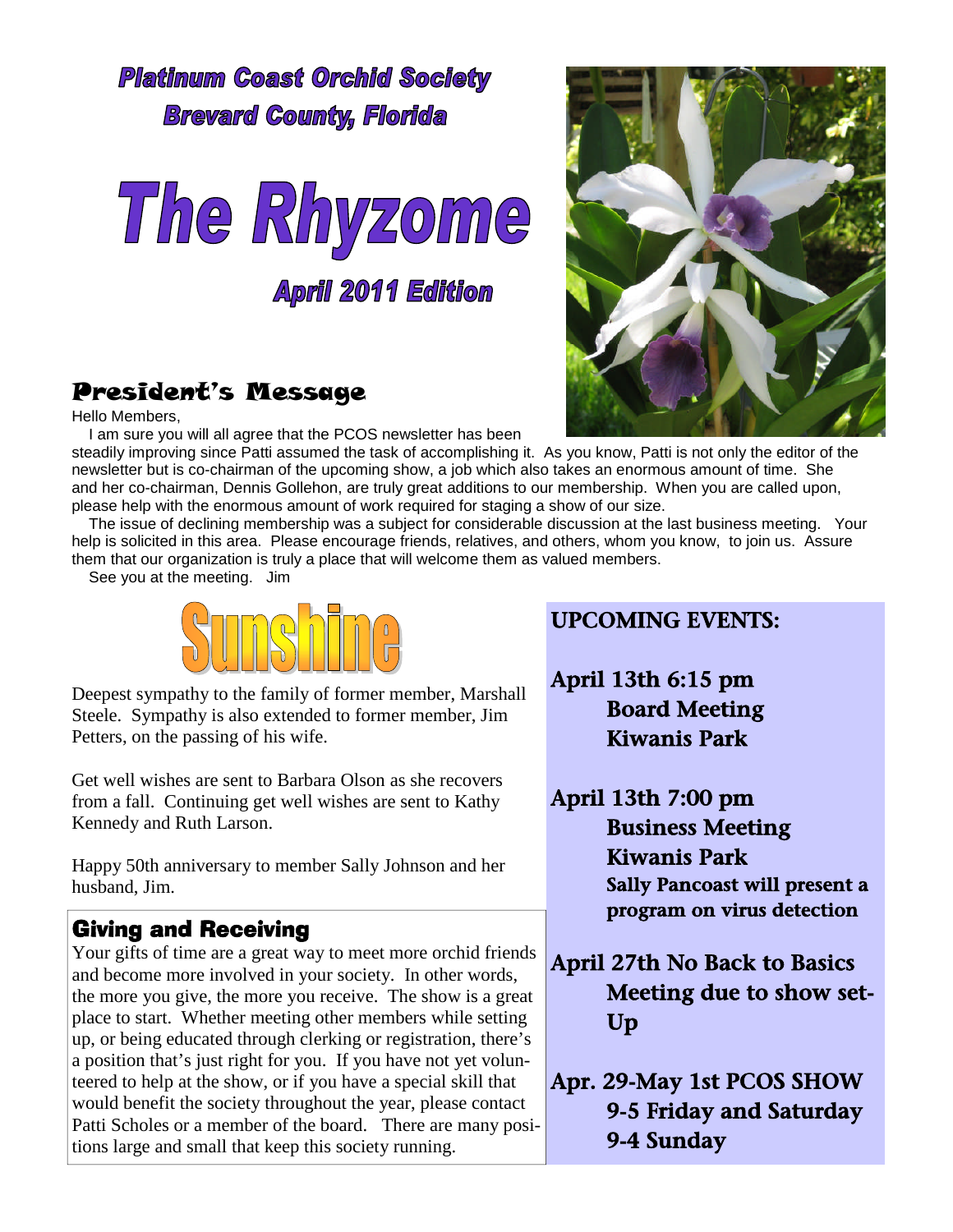**Platinum Coast Orchid Society Brevard County, Florida** 



**April 2011 Edition** 

# President's Message

Hello Members,

I am sure you will all agree that the PCOS newsletter has been

steadily improving since Patti assumed the task of accomplishing it. As you know, Patti is not only the editor of the newsletter but is co-chairman of the upcoming show, a job which also takes an enormous amount of time. She and her co-chairman, Dennis Gollehon, are truly great additions to our membership. When you are called upon, please help with the enormous amount of work required for staging a show of our size.

The issue of declining membership was a subject for considerable discussion at the last business meeting. Your help is solicited in this area. Please encourage friends, relatives, and others, whom you know, to join us. Assure them that our organization is truly a place that will welcome them as valued members.

See you at the meeting. Jim



Deepest sympathy to the family of former member, Marshall Steele. Sympathy is also extended to former member, Jim Petters, on the passing of his wife.

Get well wishes are sent to Barbara Olson as she recovers from a fall. Continuing get well wishes are sent to Kathy Kennedy and Ruth Larson.

Happy 50th anniversary to member Sally Johnson and her husband, Jim.

# Giving and Receiving

Your gifts of time are a great way to meet more orchid friends and become more involved in your society. In other words, the more you give, the more you receive. The show is a great place to start. Whether meeting other members while setting up, or being educated through clerking or registration, there's a position that's just right for you. If you have not yet volunteered to help at the show, or if you have a special skill that would benefit the society throughout the year, please contact Patti Scholes or a member of the board. There are many positions large and small that keep this society running.



- April 13th 6:15 pm Board Meeting Kiwanis Park
- April 13th 7:00 pm Business Meeting Kiwanis Park Sally Pancoast will present a program on virus detection

April 27th No Back to Basics Meeting due to show set-Up

Apr. 29-May 1st PCOS SHOW 9-5 Friday and Saturday 9-4 Sunday

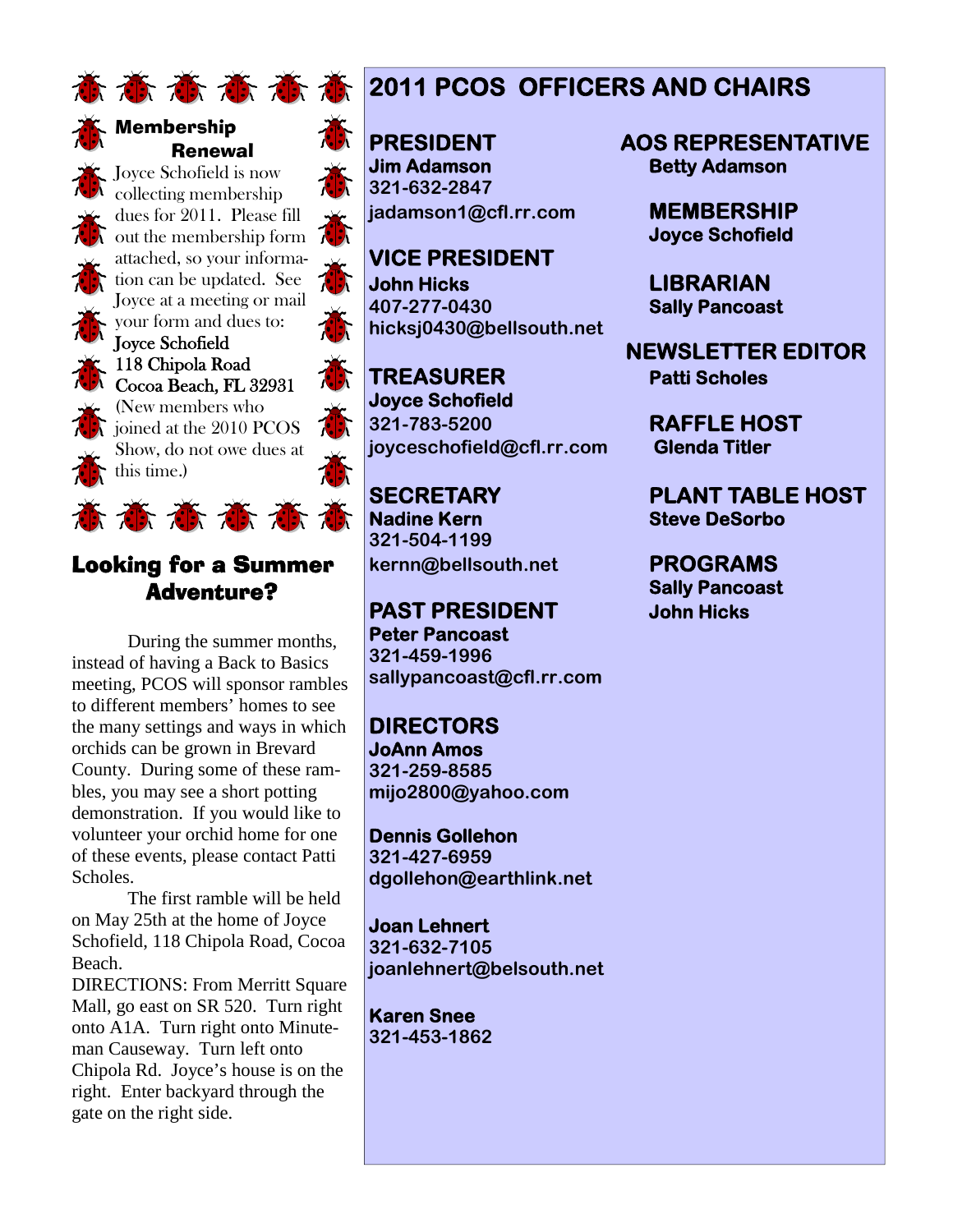



#### Membership Renewal

Joyce Schofield is now collecting membership dues for 2011. Please fill out the membership form attached, so your information can be updated. See Joyce at a meeting or mail your form and dues to:

Joyce Schofield 118 Chipola Road Cocoa Beach, FL 32931 (New members who

joined at the 2010 PCOS Show, do not owe dues at this time.)

#### Looking for a Summer Adventure?

苏苏苏苏苏苏

During the summer months, instead of having a Back to Basics meeting, PCOS will sponsor rambles to different members' homes to see the many settings and ways in which orchids can be grown in Brevard County. During some of these rambles, you may see a short potting demonstration. If you would like to volunteer your orchid home for one of these events, please contact Patti Scholes.

The first ramble will be held on May 25th at the home of Joyce Schofield, 118 Chipola Road, Cocoa Beach.

DIRECTIONS: From Merritt Square Mall, go east on SR 520. Turn right onto A1A. Turn right onto Minuteman Causeway. Turn left onto Chipola Rd. Joyce's house is on the right. Enter backyard through the gate on the right side.

# **<b>本高高高高2011 PCOS OFFICERS AND CHAIRS**

**Jim Adamson Betty Adamson 321-632-2847 jadamson1@cfl.rr.com MEMBERSHIP**

**VICE PRESIDENT John Hicks LIBRARIAN 407-277-0430 Sally Pancoast hicksj0430@bellsouth.net**

**TREASURER Patti Scholes Joyce Schofield 321-783-5200 RAFFLE HOST joyceschofield@cfl.rr.com Glenda Titler**

**Nadine Kern Steve DeSorbo 321-504-1199 kernn@bellsouth.net PROGRAMS**

**PAST PRESIDENT John Hicks Peter Pancoast 321-459-1996 sallypancoast@cfl.rr.com**

**DIRECTORS JoAnn Amos 321-259-8585 mijo2800@yahoo.com**

**Dennis Gollehon 321-427-6959 dgollehon@earthlink.net**

**Joan Lehnert 321-632-7105 joanlehnert@belsouth.net**

**Karen Snee 321-453-1862**

**PRESIDENT AOS REPRESENTATIVE**

**Joyce Schofield**

**NEWSLETTER EDITOR**

**SECRETARY PLANT TABLE HOST**

**Sally Pancoast**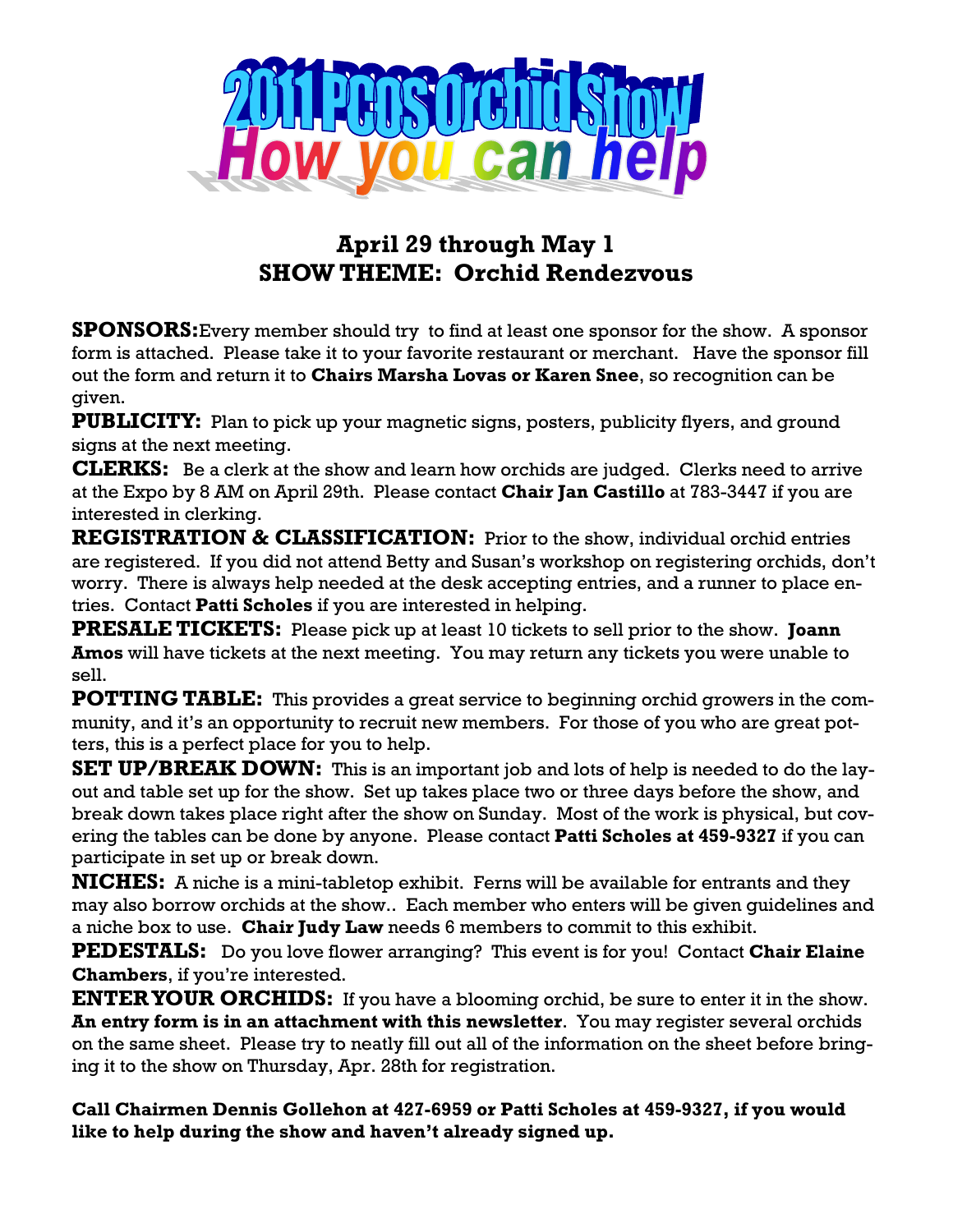

# **April 29 through May 1 SHOW THEME: Orchid Rendezvous**

**SPONSORS:**Every member should try to find at least one sponsor for the show. A sponsor form is attached. Please take it to your favorite restaurant or merchant. Have the sponsor fill out the form and return it to **Chairs Marsha Lovas or Karen Snee**, so recognition can be given.

**PUBLICITY:** Plan to pick up your magnetic signs, posters, publicity flyers, and ground signs at the next meeting.

**CLERKS:** Be a clerk at the show and learn how orchids are judged. Clerks need to arrive at the Expo by 8 AM on April 29th. Please contact **Chair Jan Castillo** at 783-3447 if you are interested in clerking.

**REGISTRATION & CLASSIFICATION:** Prior to the show, individual orchid entries are registered. If you did not attend Betty and Susan's workshop on registering orchids, don't worry. There is always help needed at the desk accepting entries, and a runner to place entries. Contact **Patti Scholes** if you are interested in helping.

**PRESALE TICKETS:** Please pick up at least 10 tickets to sell prior to the show. **Joann Amos** will have tickets at the next meeting. You may return any tickets you were unable to sell.

**POTTING TABLE:** This provides a great service to beginning orchid growers in the community, and it's an opportunity to recruit new members. For those of you who are great potters, this is a perfect place for you to help.

**SET UP/BREAK DOWN:** This is an important job and lots of help is needed to do the layout and table set up for the show. Set up takes place two or three days before the show, and break down takes place right after the show on Sunday. Most of the work is physical, but covering the tables can be done by anyone. Please contact **Patti Scholes at 459-9327** if you can participate in set up or break down.

**NICHES:** A niche is a mini-tabletop exhibit. Ferns will be available for entrants and they may also borrow orchids at the show.. Each member who enters will be given guidelines and a niche box to use. **Chair Judy Law** needs 6 members to commit to this exhibit.

**PEDESTALS:** Do you love flower arranging? This event is for you! Contact **Chair Elaine Chambers**, if you're interested.

**ENTERYOUR ORCHIDS:** If you have a blooming orchid, be sure to enter it in the show. **An entry form is in an attachment with this newsletter**. You may register several orchids on the same sheet. Please try to neatly fill out all of the information on the sheet before bringing it to the show on Thursday, Apr. 28th for registration.

**Call Chairmen Dennis Gollehon at 427-6959 or Patti Scholes at 459-9327, if you would like to help during the show and haven't already signed up.**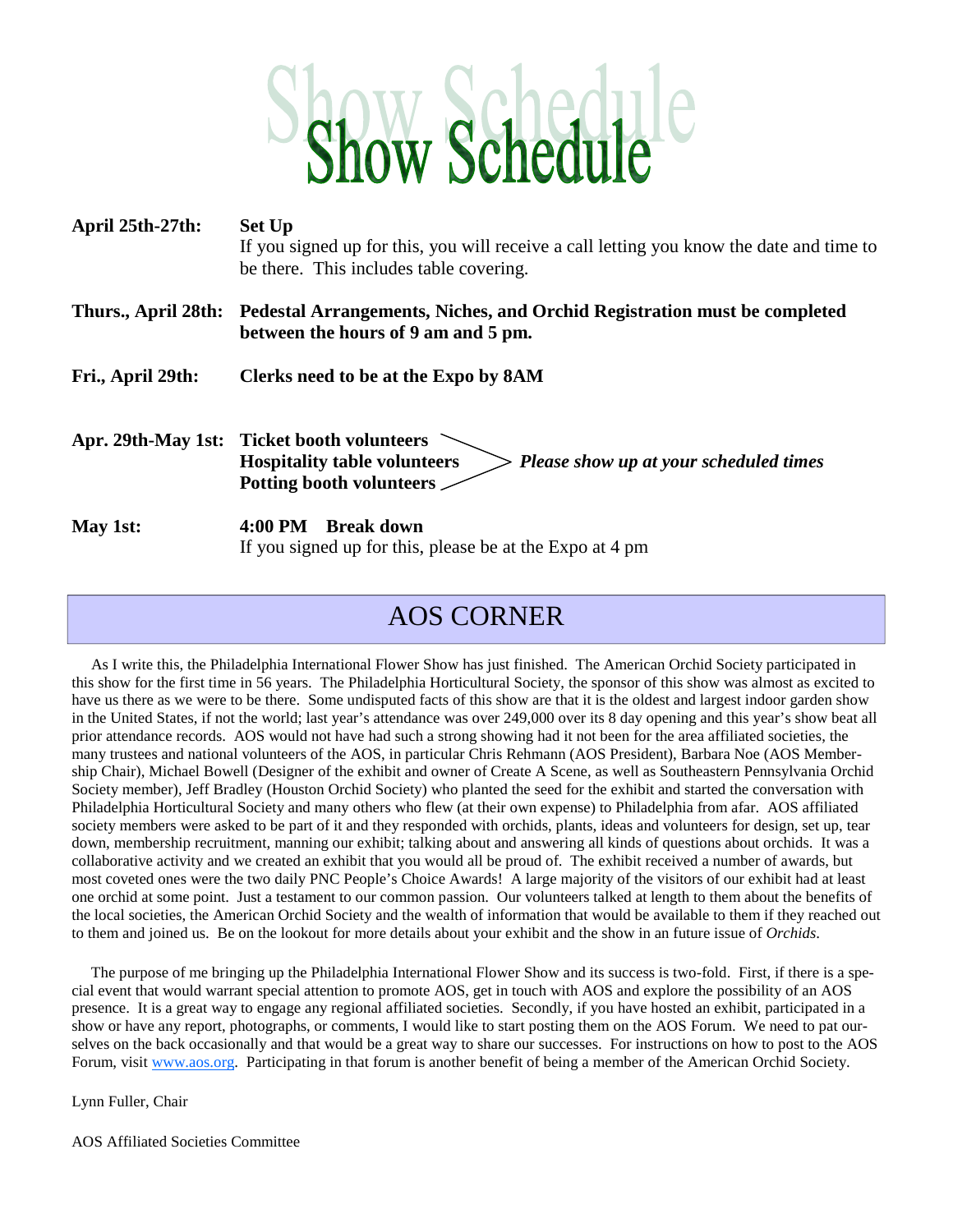# **Ow Schedu**

| April 25th-27th:  | <b>Set Up</b><br>If you signed up for this, you will receive a call letting you know the date and time to<br>be there. This includes table covering.    |
|-------------------|---------------------------------------------------------------------------------------------------------------------------------------------------------|
|                   | Thurs., April 28th: Pedestal Arrangements, Niches, and Orchid Registration must be completed<br>between the hours of 9 am and 5 pm.                     |
| Fri., April 29th: | Clerks need to be at the Expo by 8AM                                                                                                                    |
|                   | Apr. 29th-May 1st: Ticket booth volunteers<br><b>Hospitality table volunteers</b><br>Please show up at your scheduled times<br>Potting booth volunteers |
| May 1st:          | 4:00 PM<br><b>Break down</b><br>If you signed up for this, please be at the Expo at 4 pm                                                                |

# AOS CORNER

As I write this, the Philadelphia International Flower Show has just finished. The American Orchid Society participated in this show for the first time in 56 years. The Philadelphia Horticultural Society, the sponsor of this show was almost as excited to have us there as we were to be there. Some undisputed facts of this show are that it is the oldest and largest indoor garden show in the United States, if not the world; last year's attendance was over 249,000 over its 8 day opening and this year's show beat all prior attendance records. AOS would not have had such a strong showing had it not been for the area affiliated societies, the many trustees and national volunteers of the AOS, in particular Chris Rehmann (AOS President), Barbara Noe (AOS Membership Chair), Michael Bowell (Designer of the exhibit and owner of Create A Scene, as well as Southeastern Pennsylvania Orchid Society member), Jeff Bradley (Houston Orchid Society) who planted the seed for the exhibit and started the conversation with Philadelphia Horticultural Society and many others who flew (at their own expense) to Philadelphia from afar. AOS affiliated society members were asked to be part of it and they responded with orchids, plants, ideas and volunteers for design, set up, tear down, membership recruitment, manning our exhibit; talking about and answering all kinds of questions about orchids. It was a collaborative activity and we created an exhibit that you would all be proud of. The exhibit received a number of awards, but most coveted ones were the two daily PNC People's Choice Awards! A large majority of the visitors of our exhibit had at least one orchid at some point. Just a testament to our common passion. Our volunteers talked at length to them about the benefits of the local societies, the American Orchid Society and the wealth of information that would be available to them if they reached out to them and joined us. Be on the lookout for more details about your exhibit and the show in an future issue of *Orchids*.

The purpose of me bringing up the Philadelphia International Flower Show and its success is two-fold. First, if there is a special event that would warrant special attention to promote AOS, get in touch with AOS and explore the possibility of an AOS presence. It is a great way to engage any regional affiliated societies. Secondly, if you have hosted an exhibit, participated in a show or have any report, photographs, or comments, I would like to start posting them on the AOS Forum. We need to pat ourselves on the back occasionally and that would be a great way to share our successes. For instructions on how to post to the AOS Forum, visit www.aos.org. Participating in that forum is another benefit of being a member of the American Orchid Society.

Lynn Fuller, Chair

AOS Affiliated Societies Committee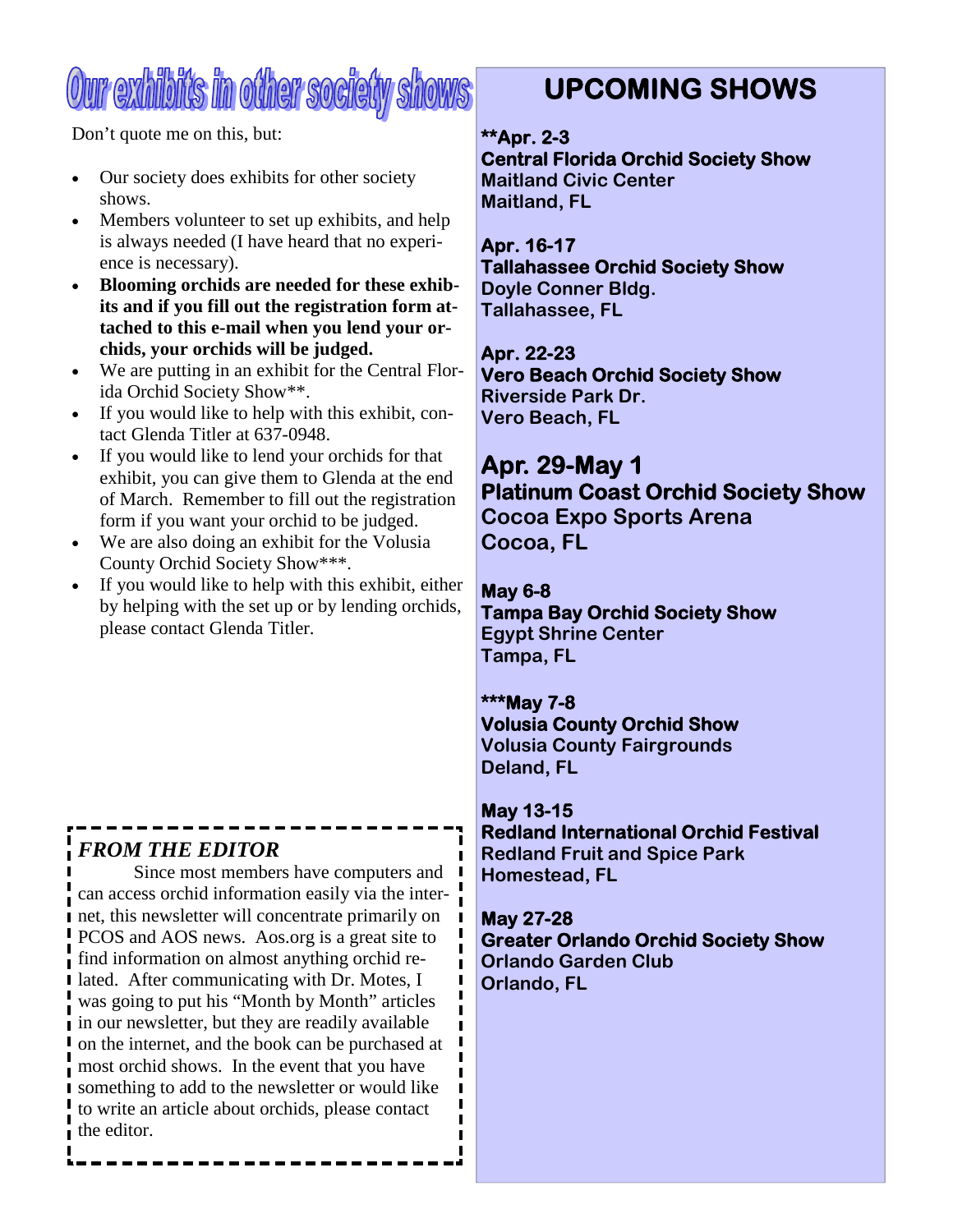# Our exhibits in other society shows

Don't quote me on this, but:

- Our society does exhibits for other society shows.
- Members volunteer to set up exhibits, and help is always needed (I have heard that no experience is necessary).
- **Blooming orchids are needed for these exhibits and if you fill out the registration form attached to this e-mail when you lend your orchids, your orchids will be judged.**
- We are putting in an exhibit for the Central Florida Orchid Society Show\*\*.
- If you would like to help with this exhibit, contact Glenda Titler at 637-0948.
- If you would like to lend your orchids for that exhibit, you can give them to Glenda at the end of March. Remember to fill out the registration form if you want your orchid to be judged.
- We are also doing an exhibit for the Volusia County Orchid Society Show\*\*\*.
- If you would like to help with this exhibit, either by helping with the set up or by lending orchids, please contact Glenda Titler.

# *FROM THE EDITOR*

Since most members have computers and  $\blacksquare$ can access orchid information easily via the internet, this newsletter will concentrate primarily on PCOS and AOS news. Aos.org is a great site to find information on almost anything orchid related. After communicating with Dr. Motes, I was going to put his "Month by Month" articles in our newsletter, but they are readily available on the internet, and the book can be purchased at most orchid shows. In the event that you have something to add to the newsletter or would like to write an article about orchids, please contact the editor.

# **UPCOMING SHOWS**

#### **\*\*Apr. 2-3**

**Central Florida Orchid Society Show Maitland Civic Center Maitland, FL**

#### **Apr. 16-17**

**Tallahassee Orchid Society Show Doyle Conner Bldg. Tallahassee, FL**

**Apr. 22-23 Vero Beach Orchid Society Show Riverside Park Dr. Vero Beach, FL**

# **Apr. 29-May 1 Platinum Coast Orchid Society Show**

**Cocoa Expo Sports Arena Cocoa, FL**

#### **May 6-8**

**Tampa Bay Orchid Society Show Egypt Shrine Center Tampa, FL**

#### **\*\*\*May 7-8**

**Volusia County Orchid Show Volusia County Fairgrounds Deland, FL**

#### **May 13-15**

**Redland International Orchid Festival Redland Fruit and Spice Park Homestead, FL**

#### **May 27-28**

**Greater Orlando Orchid Society Show Orlando Garden Club Orlando, FL**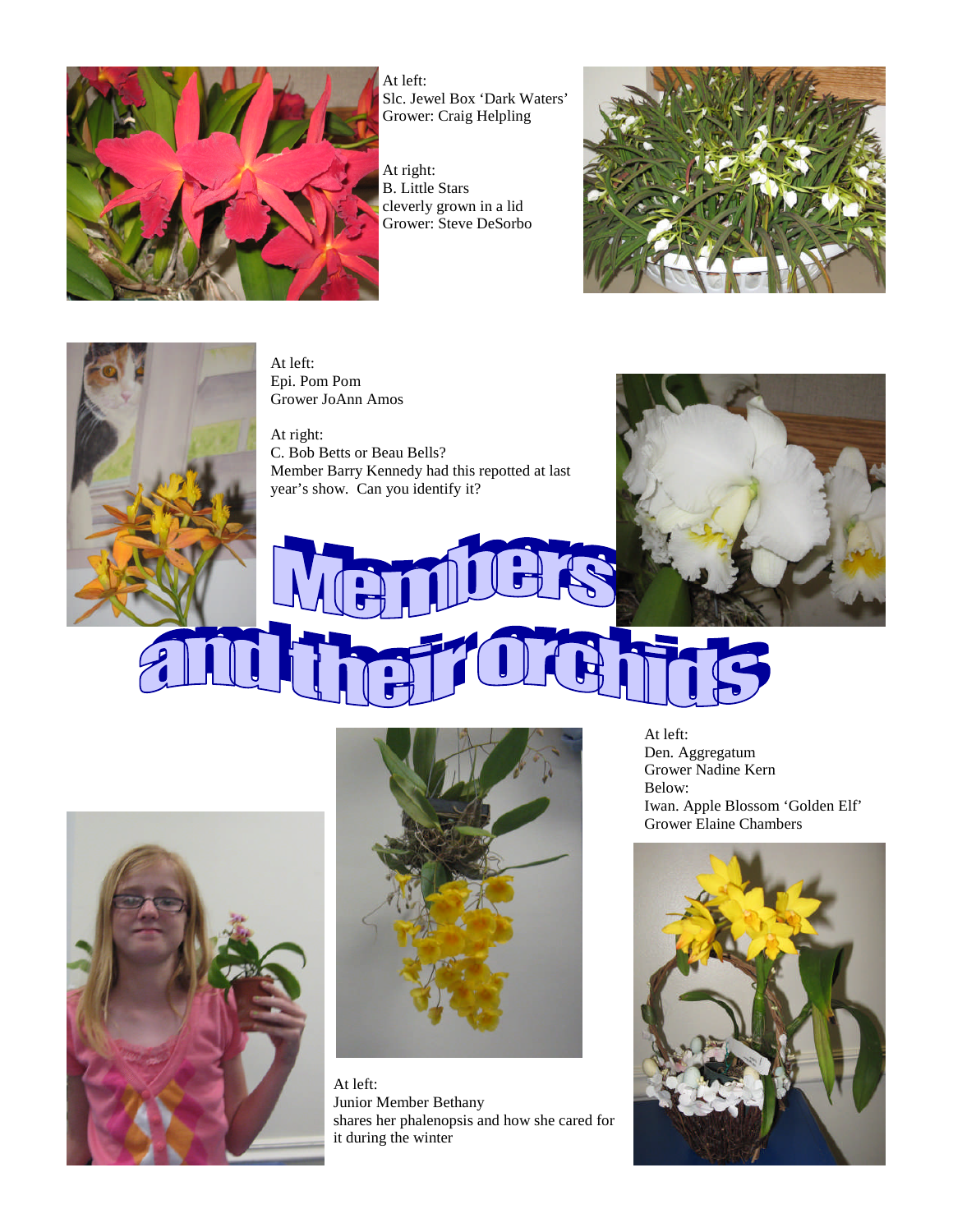

At left: Slc. Jewel Box 'Dark Waters' Grower: Craig Helpling

At right: B. Little Stars cleverly grown in a lid Grower: Steve DeSorbo





At left: Epi. Pom Pom Grower JoAnn Amos

At right: C. Bob Betts or Beau Bells? Member Barry Kennedy had this repotted at last year's show. Can you identify it?







At left: Junior Member Bethany shares her phalenopsis and how she cared for it during the winter

At left: Den. Aggregatum Grower Nadine Kern Below: Iwan. Apple Blossom 'Golden Elf' Grower Elaine Chambers